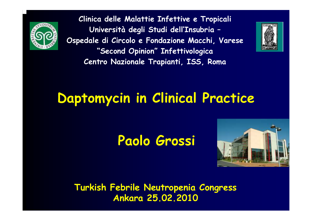

**Clinica delle Malattie Infettive e Tropicali Università degli Studi dell'Insubria – Ospedale di Circolo e Fondazione Macchi, Varese "Second Opinion" Infettivologica Centro Nazionale Trapianti, ISS, Roma**



# **Daptomycin in Clinical Practice**

# **Paolo Grossi**



**Turkish Febrile Neutropenia Congress Ankara 25.02.2010**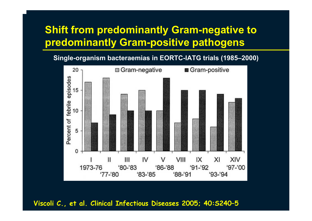## **Shift from predominantly Gram-negative to predominantly Gram-positive pathogens**

**Single-organism bacteraemias in EORTC-IATG trials (1985–2000)**



**Viscoli C., et al. Clinical Infectious Diseases 2005; 40:S240–5**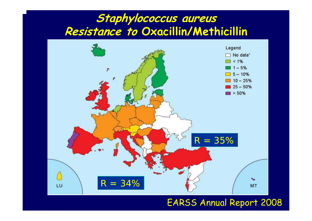## **Staphylococcus aureus Resistance to Oxacillin/Methicillin**



### EARSS Annual Report 2008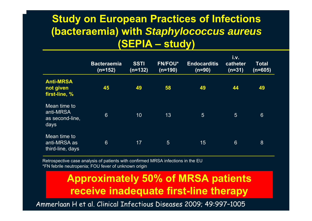## **Study on European Practices of Infections (bacteraemia) with** *Staphylococcus aureus* **(SEPIA – study)**

|                                                      | <b>Bacteraemia</b><br>$(n=152)$ | <b>SSTI</b><br>$(n=132)$ | <b>FN/FOU*</b><br>$(n=190)$ | <b>Endocarditis</b><br>$(n=90)$ | i.v.<br>catheter<br>$(n=31)$ | <b>Total</b><br>$(n=605)$ |
|------------------------------------------------------|---------------------------------|--------------------------|-----------------------------|---------------------------------|------------------------------|---------------------------|
| <b>Anti-MRSA</b><br>not given<br>first-line, %       | 45                              | 49                       | 58                          | 49                              | 44                           | 49                        |
| Mean time to<br>anti-MRSA<br>as second-line,<br>days | $6\phantom{1}$                  | 10                       | 13                          | $5\overline{)}$                 | 5 <sup>5</sup>               | $6\phantom{1}6$           |
| Mean time to<br>anti-MRSA as<br>third-line, days     | $6\phantom{1}$                  | 17                       | $5\overline{)}$             | 15                              | $6\phantom{1}$               | 8                         |

Retrospective case analysis of patients with confirmed MRSA infections in the EU \*FN febrile neutropenia; FOU fever of unknown origin

## **Approximately 50% of MRSA patients receive inadequate first-line therapy**

Ammerlaan H et al. Clinical Infectious Diseases 2009; 49:997–1005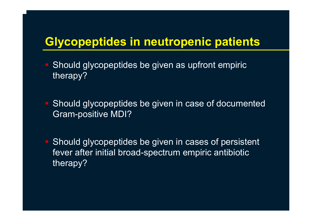# **Glycopeptides in neutropenic patients**

- **Should glycopeptides be given as upfront empiric** therapy?
- **Should glycopeptides be given in case of documented** Gram-positive MDI?
- **Should glycopeptides be given in cases of persistent** fever after initial broad-spectrum empiric antibiotic therapy?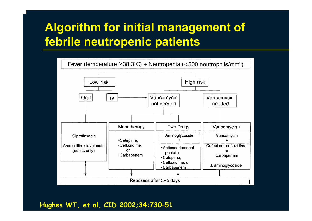# **Algorithm for initial management of febrile neutropenic patients**



#### **Hughes WT, et al. CID 2002;34:730–51**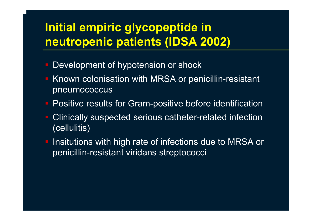# **Initial empiric glycopeptide in neutropenic patients (IDSA 2002)**

- Development of hypotension or shock
- Known colonisation with MRSA or penicillin-resistant pneumococcus
- **Positive results for Gram-positive before identification**
- Clinically suspected serious catheter-related infection (cellulitis)
- **Insitutions with high rate of infections due to MRSA or** penicillin-resistant viridans streptococci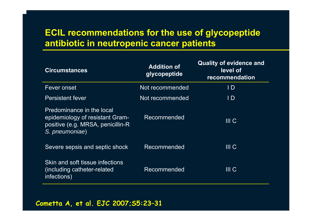### **ECIL recommendations for the use of glycopeptide antibiotic in neutropenic cancer patients**

| <b>Circumstances</b>                                                                                                 | <b>Addition of</b><br>glycopeptide | <b>Quality of evidence and</b><br>level of<br>recommendation |
|----------------------------------------------------------------------------------------------------------------------|------------------------------------|--------------------------------------------------------------|
| Fever onset                                                                                                          | Not recommended                    | $\overline{D}$                                               |
| <b>Persistent fever</b>                                                                                              | Not recommended                    | $\overline{D}$                                               |
| Predominance in the local<br>epidemiology of resistant Gram-<br>positive (e.g. MRSA, penicillin-R)<br>S. pneumoniae) | Recommended                        | III <sub>C</sub>                                             |
| Severe sepsis and septic shock                                                                                       | Recommended                        | III <sub>C</sub>                                             |
| Skin and soft tissue infections<br>(including catheter-related)<br>infections)                                       | Recommended                        | III C                                                        |

### **Cometta A, et al. EJC 2007;S5:23–31**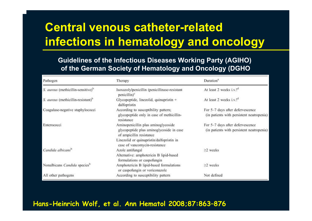# **Central venous catheter-related infections in hematology and oncology**

#### **Guidelines of the Infectious Diseases Working Party (AGIHO) of the German Society of Hematology and Oncology (DGHO**

| Pathogen                                       | Therapy                                                                                                     | Duration <sup>a</sup>                                                         |
|------------------------------------------------|-------------------------------------------------------------------------------------------------------------|-------------------------------------------------------------------------------|
| S. aureus (methicillin-sensitive) <sup>b</sup> | Isoxazolylpenicillin (penicillinase-resistant<br>penicillin) <sup>c</sup>                                   | At least 2 weeks i.v.! <sup>d</sup>                                           |
| S. aureus (methicillin-resistant) <sup>b</sup> | Glycopeptide, linezolid, quinupristin +<br>dalfopristin                                                     | At least 2 weeks i.v.! <sup>d</sup>                                           |
| Coagulase-negative staphylococci               | According to susceptibility pattern;<br>glycopeptide only in case of methicillin-<br>resistance             | For 5-7 days after defervescence<br>(in patients with persistent neutropenia) |
| Enterococci                                    | Aminopenicillin plus aminoglycoside<br>glycopeptide plus aminoglycoside in case<br>of ampicillin resistance | For 5-7 days after defervescence<br>(in patients with persistent neutropenia) |
|                                                | Linezolid or quinupristin/dalfopristin in<br>case of vancomycin-resistance                                  |                                                                               |
| Candida albicans <sup>b</sup>                  | Azole antifungal<br>Alternative: amphotericin B lipid-based<br>formulations or caspofungin                  | $\geq$ weeks                                                                  |
| Nonalbicans Candida species <sup>b</sup>       | Amphotericin B lipid-based formulations<br>or caspofungin or voriconazole                                   | $>2$ weeks                                                                    |
| All other pathogens                            | According to susceptibility pattern                                                                         | Not defined                                                                   |

### **Hans-Heinrich Wolf, et al. Ann Hematol 2008;87:863–876**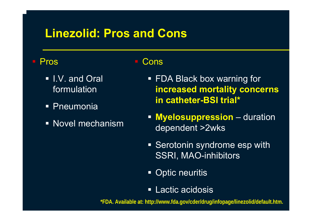# **Linezolid: Pros and Cons**

### Pros

- **I.V. and Oral** formulation
- **Pneumonia**
- Novel mechanism

### Cons

- FDA Black box warning for **increased mortality concerns in catheter-BSI trial\***
- **Myelosuppression** duration dependent >2wks
- Serotonin syndrome esp with SSRI, MAO-inhibitors
- Optic neuritis
- Lactic acidosis

**\*FDA. Available at: http://www.fda.gov/cder/drug/infopage/linezolid/default.htm.**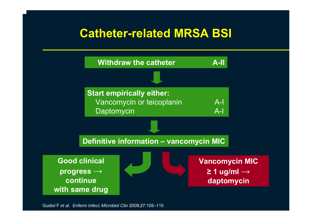## **Catheter-related MRSA BSI**



Gudiol F *et al. Enferm Infecc Microbiol Clin* 2009;27:105–115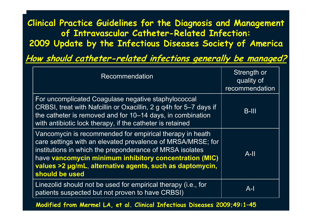**Clinical Practice Guidelines for the Diagnosis and Management of Intravascular Catheter-Related Infection: 2009 Update by the Infectious Diseases Society of America**

**How should catheter-related infections generally be managed?**

| Recommendation                                                                                                                                                                                                                                                                                                              | Strength or<br>quality of<br>recommendation |
|-----------------------------------------------------------------------------------------------------------------------------------------------------------------------------------------------------------------------------------------------------------------------------------------------------------------------------|---------------------------------------------|
| For uncomplicated Coagulase negative staphylococcal<br>CRBSI, treat with Nafcillin or Oxacillin, 2 g q4h for 5-7 days if<br>the catheter is removed and for 10–14 days, in combination<br>with antibiotic lock therapy, if the catheter is retained                                                                         | $B-III$                                     |
| Vancomycin is recommended for empirical therapy in heath<br>care settings with an elevated prevalence of MRSA/MRSE; for<br>institutions in which the preponderance of MRSA isolates<br>have vancomycin minimum inhibitory concentration (MIC)<br>values >2 µg/mL, alternative agents, such as daptomycin,<br>should be used | $A-II$                                      |
| Linezolid should not be used for empirical therapy (i.e., for<br>patients suspected but not proven to have CRBSI)                                                                                                                                                                                                           | $A-I$                                       |

**Modified from Mermel LA, et al. Clinical Infectious Diseases 2009;49:1–45**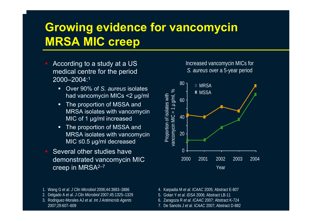# **Growing evidence for vancomycin MRSA MIC creep**

- According to a study at a US medical centre for the period 2000–2004:1
	- Over 90% of *S. aureus* isolates had vancomycin MICs <2 μg/ml
	- П The proportion of MSSA and MRSA isolates with vancomycin MIC of 1 µg/ml increased
	- $\blacksquare$  The proportion of MSSA and MRSA isolates with vancomycin MIC <sup>≤</sup>0.5 µg/ml decreased
- Several other studies have demonstrated vancomycin MIC creep in MRSA<sup>2-7</sup>
- 1. Wang G *et al*. *J Clin Microbiol* 2006;44:3883–3886
- 2. Delgado A *et al*. *J Clin Microbiol* 2007;45:1325–1329
- 3. Rodriguez-Morales AJ *et al. Int J Antimicrob Agents* 2007;29:607–609

#### Increased vancomycin MICs for *S. aureus* over a 5-year period



4. Karpadia M *et al. ICAAC* 2005; Abstract E-807

- 5. Golan Y *et al*. *IDSA* 2006; Abstract LB-11
- 6. Zaragoza R *et al*. *ICAAC* 2007; Abstract K-724
- 7. De Sanctis J *et al. ICAAC* 2007; Abstract D-882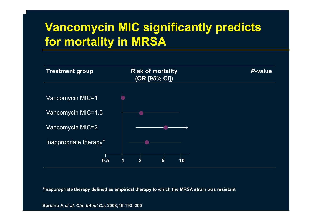# **Vancomycin MIC significantly predicts for mortality in MRSA**



**\*Inappropriate therapy defined as empirical therapy to which the MRSA strain was resistant**

#### **Soriano A** *et al. Clin Infect Dis* **2008;46:193–200**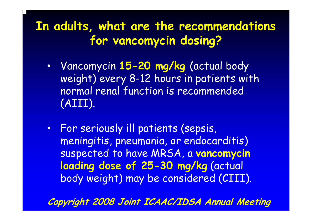# **In adults, what are the recommendations for vancomycin dosing?**

- • Vancomycin **15-20 mg/kg** (actual body weight) every 8-12 hours in patients with normal renal function is recommended (AIII).
- $\bullet$ • For seriously ill patients (sepsis, meningitis, pneumonia, or endocarditis) suspected to have MRSA, a **vancomycin loading dose of 25-30 mg/kg** (actual body weight) may be considered (CIII).

**Copyright 2008 Joint ICAAC/IDSA Annual Meeting**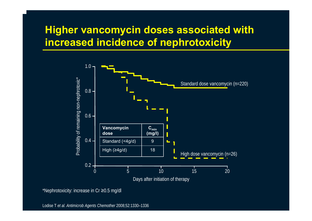### **Higher vancomycin doses associated with increased incidence of nephrotoxicity**



\*Nephrotoxicity: increase in Cr <sup>≥</sup>0.5 mg/dl

Lodise T *et al. Antimicrob Agents Chemother* 2008;52:1330–1336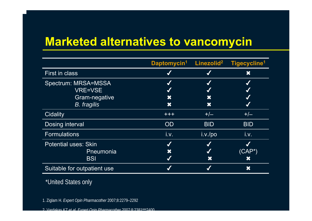## **Marketed alternatives to vancomycin**

|                                                                              | Daptomycin <sup>1</sup> | Linezolid <sup>2</sup> | Tigecycline <sup>1</sup> |
|------------------------------------------------------------------------------|-------------------------|------------------------|--------------------------|
| <b>First in class</b>                                                        |                         |                        | ×                        |
| Spectrum: MRSA=MSSA<br><b>VRE=VSE</b><br>Gram-negative<br><b>B.</b> fragilis | ×                       | ×                      |                          |
| Cidality                                                                     | $+ + +$                 | $+/-$                  | $+/-$                    |
| Dosing interval                                                              | <b>OD</b>               | <b>BID</b>             | <b>BID</b>               |
| <b>Formulations</b>                                                          | i.v.                    | i.v./po                | i.v.                     |
| <b>Potential uses: Skin</b><br>Pneumonia<br><b>BSI</b>                       | X                       | ×                      | $(CAP^*)$<br>×           |
| Suitable for outpatient use                                                  |                         |                        | ×                        |

#### \*United States only

1. Ziglam H. *Expert Opin Pharmacother* 2007;8:2279–2292

2 Vardakas KZ *et al Expert Opin Pharmacother* 2007;8:2381 –2400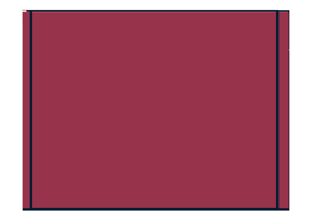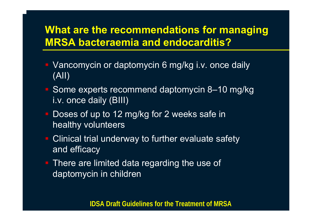## **What are the recommendations for managing MRSA bacteraemia and endocarditis?**

- **Vancomycin or daptomycin 6 mg/kg i.v. once daily** (AII)
- Some experts recommend daptomycin 8–10 mg/kg i.v. once daily (BIII)
- Doses of up to 12 mg/kg for 2 weeks safe in healthy volunteers
- **Example 2** Clinical trial underway to further evaluate safety and efficacy
- **There are limited data regarding the use of** daptomycin in children

**IDSA Draft Guidelines for the Treatment of MRSA**